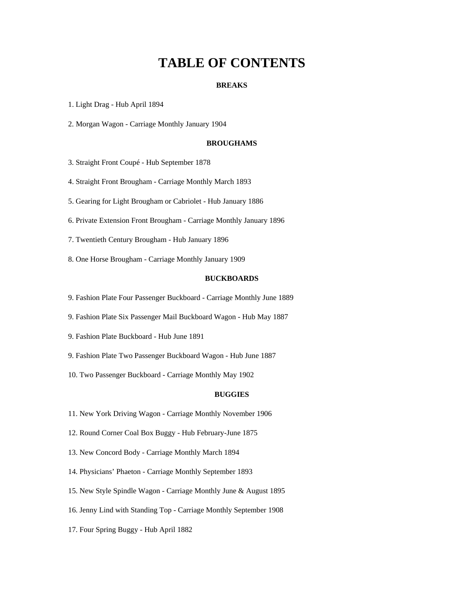# **TABLE OF CONTENTS**

#### **BREAKS**

1. Light Drag - Hub April 1894

2. Morgan Wagon - Carriage Monthly January 1904

## **BROUGHAMS**

3. Straight Front Coupé - Hub September 1878

4. Straight Front Brougham - Carriage Monthly March 1893

5. Gearing for Light Brougham or Cabriolet - Hub January 1886

6. Private Extension Front Brougham - Carriage Monthly January 1896

7. Twentieth Century Brougham - Hub January 1896

8. One Horse Brougham - Carriage Monthly January 1909

# **BUCKBOARDS**

9. Fashion Plate Four Passenger Buckboard - Carriage Monthly June 1889

9. Fashion Plate Six Passenger Mail Buckboard Wagon - Hub May 1887

9. Fashion Plate Buckboard - Hub June 1891

9. Fashion Plate Two Passenger Buckboard Wagon - Hub June 1887

10. Two Passenger Buckboard - Carriage Monthly May 1902

### **BUGGIES**

11. New York Driving Wagon - Carriage Monthly November 1906

12. Round Corner Coal Box Buggy - Hub February-June 1875

13. New Concord Body - Carriage Monthly March 1894

14. Physicians' Phaeton - Carriage Monthly September 1893

15. New Style Spindle Wagon - Carriage Monthly June & August 1895

16. Jenny Lind with Standing Top - Carriage Monthly September 1908

17. Four Spring Buggy - Hub April 1882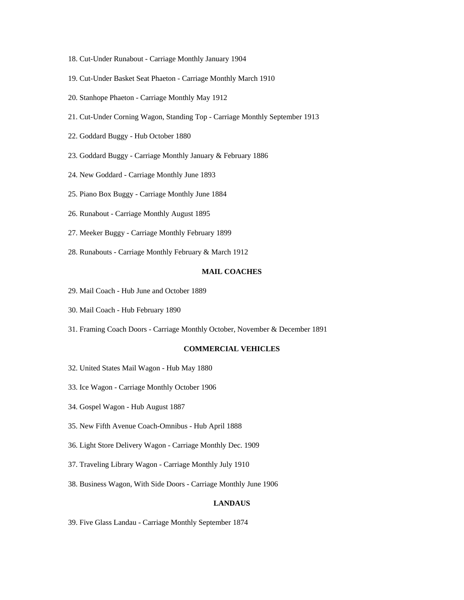- 18. Cut-Under Runabout Carriage Monthly January 1904
- 19. Cut-Under Basket Seat Phaeton Carriage Monthly March 1910
- 20. Stanhope Phaeton Carriage Monthly May 1912
- 21. Cut-Under Corning Wagon, Standing Top Carriage Monthly September 1913
- 22. Goddard Buggy Hub October 1880
- 23. Goddard Buggy Carriage Monthly January & February 1886
- 24. New Goddard Carriage Monthly June 1893
- 25. Piano Box Buggy Carriage Monthly June 1884
- 26. Runabout Carriage Monthly August 1895
- 27. Meeker Buggy Carriage Monthly February 1899
- 28. Runabouts Carriage Monthly February & March 1912

# **MAIL COACHES**

- 29. Mail Coach Hub June and October 1889
- 30. Mail Coach Hub February 1890
- 31. Framing Coach Doors Carriage Monthly October, November & December 1891

# **COMMERCIAL VEHICLES**

- 32. United States Mail Wagon Hub May 1880
- 33. Ice Wagon Carriage Monthly October 1906
- 34. Gospel Wagon Hub August 1887
- 35. New Fifth Avenue Coach-Omnibus Hub April 1888
- 36. Light Store Delivery Wagon Carriage Monthly Dec. 1909
- 37. Traveling Library Wagon Carriage Monthly July 1910
- 38. Business Wagon, With Side Doors Carriage Monthly June 1906

## **LANDAUS**

39. Five Glass Landau - Carriage Monthly September 1874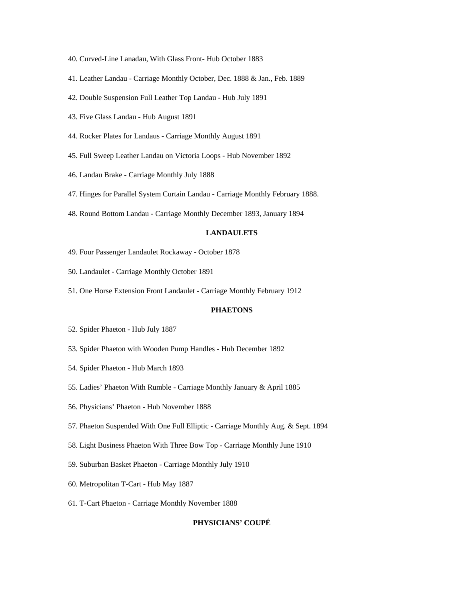- 40. Curved-Line Lanadau, With Glass Front- Hub October 1883
- 41. Leather Landau Carriage Monthly October, Dec. 1888 & Jan., Feb. 1889
- 42. Double Suspension Full Leather Top Landau Hub July 1891
- 43. Five Glass Landau Hub August 1891
- 44. Rocker Plates for Landaus Carriage Monthly August 1891
- 45. Full Sweep Leather Landau on Victoria Loops Hub November 1892
- 46. Landau Brake Carriage Monthly July 1888
- 47. Hinges for Parallel System Curtain Landau Carriage Monthly February 1888.
- 48. Round Bottom Landau Carriage Monthly December 1893, January 1894

# **LANDAULETS**

- 49. Four Passenger Landaulet Rockaway October 1878
- 50. Landaulet Carriage Monthly October 1891
- 51. One Horse Extension Front Landaulet Carriage Monthly February 1912

#### **PHAETONS**

- 52. Spider Phaeton Hub July 1887
- 53. Spider Phaeton with Wooden Pump Handles Hub December 1892
- 54. Spider Phaeton Hub March 1893
- 55. Ladies' Phaeton With Rumble Carriage Monthly January & April 1885
- 56. Physicians' Phaeton Hub November 1888
- 57. Phaeton Suspended With One Full Elliptic Carriage Monthly Aug. & Sept. 1894
- 58. Light Business Phaeton With Three Bow Top Carriage Monthly June 1910
- 59. Suburban Basket Phaeton Carriage Monthly July 1910
- 60. Metropolitan T-Cart Hub May 1887
- 61. T-Cart Phaeton Carriage Monthly November 1888

## **PHYSICIANS' COUPÉ**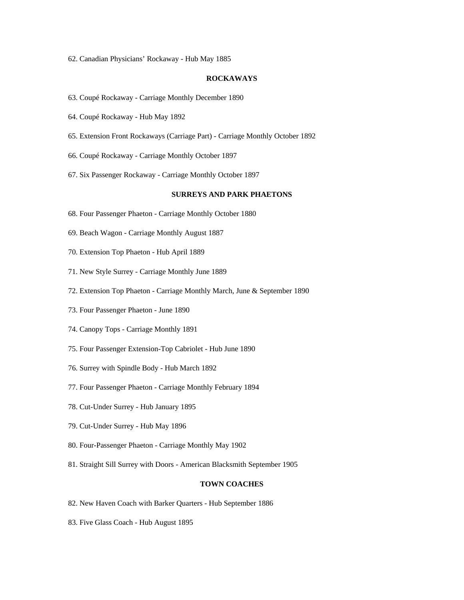62. Canadian Physicians' Rockaway - Hub May 1885

### **ROCKAWAYS**

- 63. Coupé Rockaway Carriage Monthly December 1890
- 64. Coupé Rockaway Hub May 1892
- 65. Extension Front Rockaways (Carriage Part) Carriage Monthly October 1892
- 66. Coupé Rockaway Carriage Monthly October 1897
- 67. Six Passenger Rockaway Carriage Monthly October 1897

# **SURREYS AND PARK PHAETONS**

- 68. Four Passenger Phaeton Carriage Monthly October 1880
- 69. Beach Wagon Carriage Monthly August 1887
- 70. Extension Top Phaeton Hub April 1889
- 71. New Style Surrey Carriage Monthly June 1889
- 72. Extension Top Phaeton Carriage Monthly March, June & September 1890
- 73. Four Passenger Phaeton June 1890
- 74. Canopy Tops Carriage Monthly 1891
- 75. Four Passenger Extension-Top Cabriolet Hub June 1890
- 76. Surrey with Spindle Body Hub March 1892
- 77. Four Passenger Phaeton Carriage Monthly February 1894
- 78. Cut-Under Surrey Hub January 1895
- 79. Cut-Under Surrey Hub May 1896
- 80. Four-Passenger Phaeton Carriage Monthly May 1902
- 81. Straight Sill Surrey with Doors American Blacksmith September 1905

#### **TOWN COACHES**

- 82. New Haven Coach with Barker Quarters Hub September 1886
- 83. Five Glass Coach Hub August 1895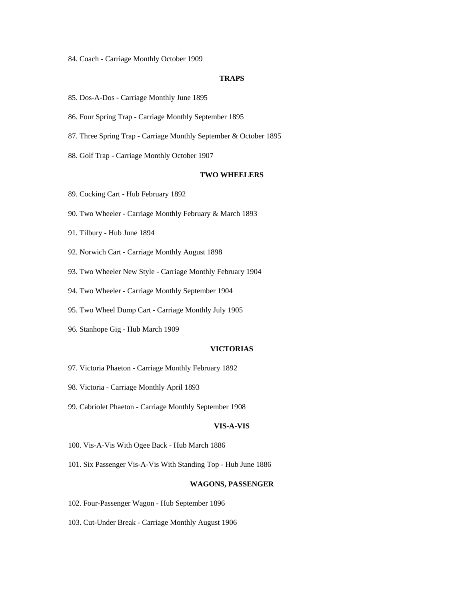84. Coach - Carriage Monthly October 1909

#### **TRAPS**

- 85. Dos-A-Dos Carriage Monthly June 1895
- 86. Four Spring Trap Carriage Monthly September 1895
- 87. Three Spring Trap Carriage Monthly September & October 1895
- 88. Golf Trap Carriage Monthly October 1907

# **TWO WHEELERS**

- 89. Cocking Cart Hub February 1892
- 90. Two Wheeler Carriage Monthly February & March 1893
- 91. Tilbury Hub June 1894
- 92. Norwich Cart Carriage Monthly August 1898
- 93. Two Wheeler New Style Carriage Monthly February 1904
- 94. Two Wheeler Carriage Monthly September 1904
- 95. Two Wheel Dump Cart Carriage Monthly July 1905
- 96. Stanhope Gig Hub March 1909

# **VICTORIAS**

- 97. Victoria Phaeton Carriage Monthly February 1892
- 98. Victoria Carriage Monthly April 1893
- 99. Cabriolet Phaeton Carriage Monthly September 1908

# **VIS-A-VIS**

- 100. Vis-A-Vis With Ogee Back Hub March 1886
- 101. Six Passenger Vis-A-Vis With Standing Top Hub June 1886

#### **WAGONS, PASSENGER**

- 102. Four-Passenger Wagon Hub September 1896
- 103. Cut-Under Break Carriage Monthly August 1906